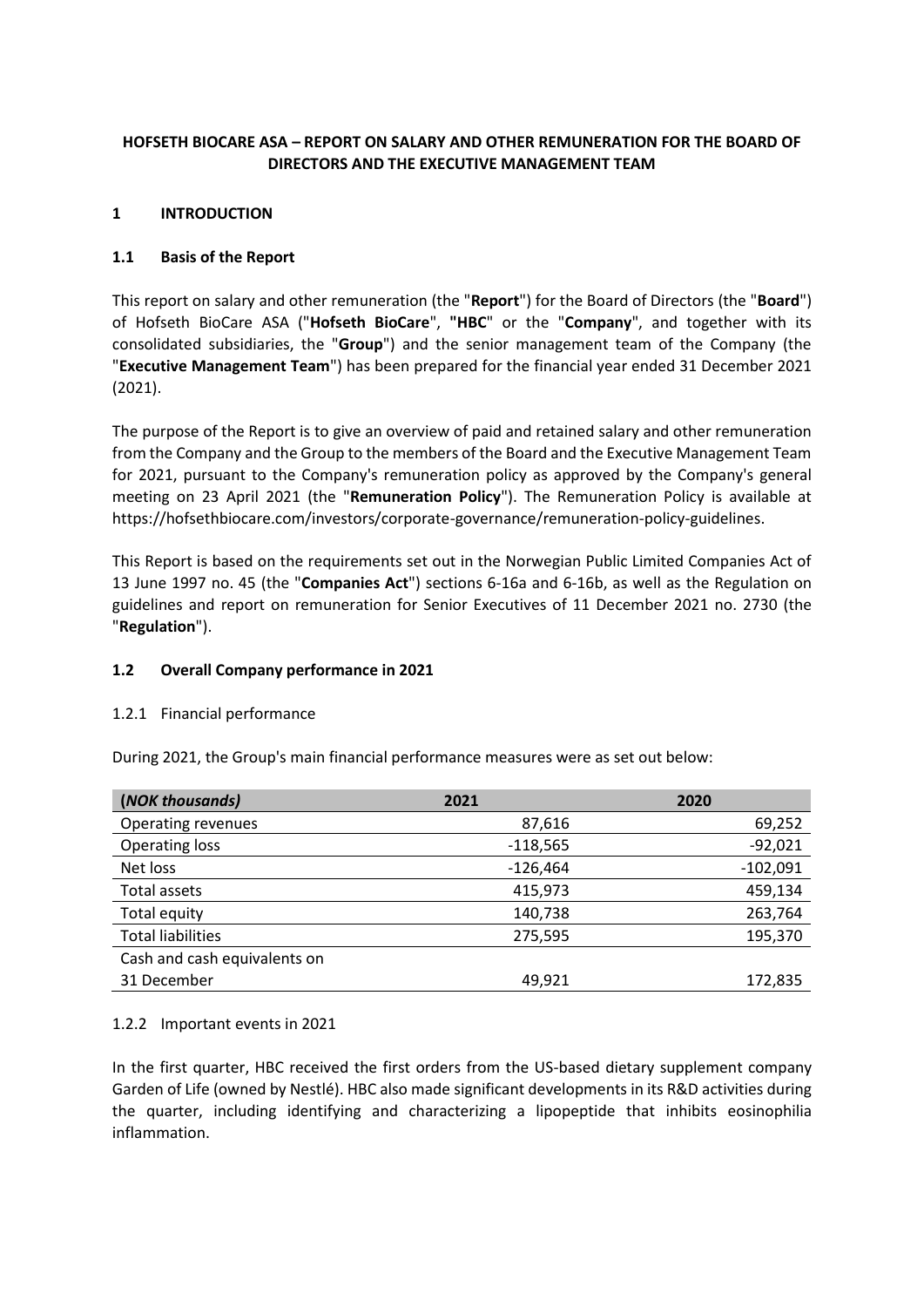# **HOFSETH BIOCARE ASA – REPORT ON SALARY AND OTHER REMUNERATION FOR THE BOARD OF DIRECTORS AND THE EXECUTIVE MANAGEMENT TEAM**

## **1 INTRODUCTION**

# **1.1 Basis of the Report**

This report on salary and other remuneration (the "**Report**") for the Board of Directors (the "**Board**") of Hofseth BioCare ASA ("**Hofseth BioCare**", **"HBC**" or the "**Company**", and together with its consolidated subsidiaries, the "**Group**") and the senior management team of the Company (the "**Executive Management Team**") has been prepared for the financial year ended 31 December 2021 (2021).

The purpose of the Report is to give an overview of paid and retained salary and other remuneration from the Company and the Group to the members of the Board and the Executive Management Team for 2021, pursuant to the Company's remuneration policy as approved by the Company's general meeting on 23 April 2021 (the "**Remuneration Policy**"). The Remuneration Policy is available at https://hofsethbiocare.com/investors/corporate-governance/remuneration-policy-guidelines.

This Report is based on the requirements set out in the Norwegian Public Limited Companies Act of 13 June 1997 no. 45 (the "**Companies Act**") sections 6-16a and 6-16b, as well as the Regulation on guidelines and report on remuneration for Senior Executives of 11 December 2021 no. 2730 (the "**Regulation**").

# **1.2 Overall Company performance in 2021**

## 1.2.1 Financial performance

During 2021, the Group's main financial performance measures were as set out below:

| (NOK thousands)              | 2021       | 2020       |
|------------------------------|------------|------------|
| <b>Operating revenues</b>    | 87,616     | 69,252     |
| <b>Operating loss</b>        | $-118,565$ | $-92,021$  |
| Net loss                     | $-126,464$ | $-102,091$ |
| Total assets                 | 415,973    | 459,134    |
| Total equity                 | 140,738    | 263,764    |
| <b>Total liabilities</b>     | 275,595    | 195,370    |
| Cash and cash equivalents on |            |            |
| 31 December                  | 49,921     | 172,835    |

## 1.2.2 Important events in 2021

In the first quarter, HBC received the first orders from the US-based dietary supplement company Garden of Life (owned by Nestlé). HBC also made significant developments in its R&D activities during the quarter, including identifying and characterizing a lipopeptide that inhibits eosinophilia inflammation.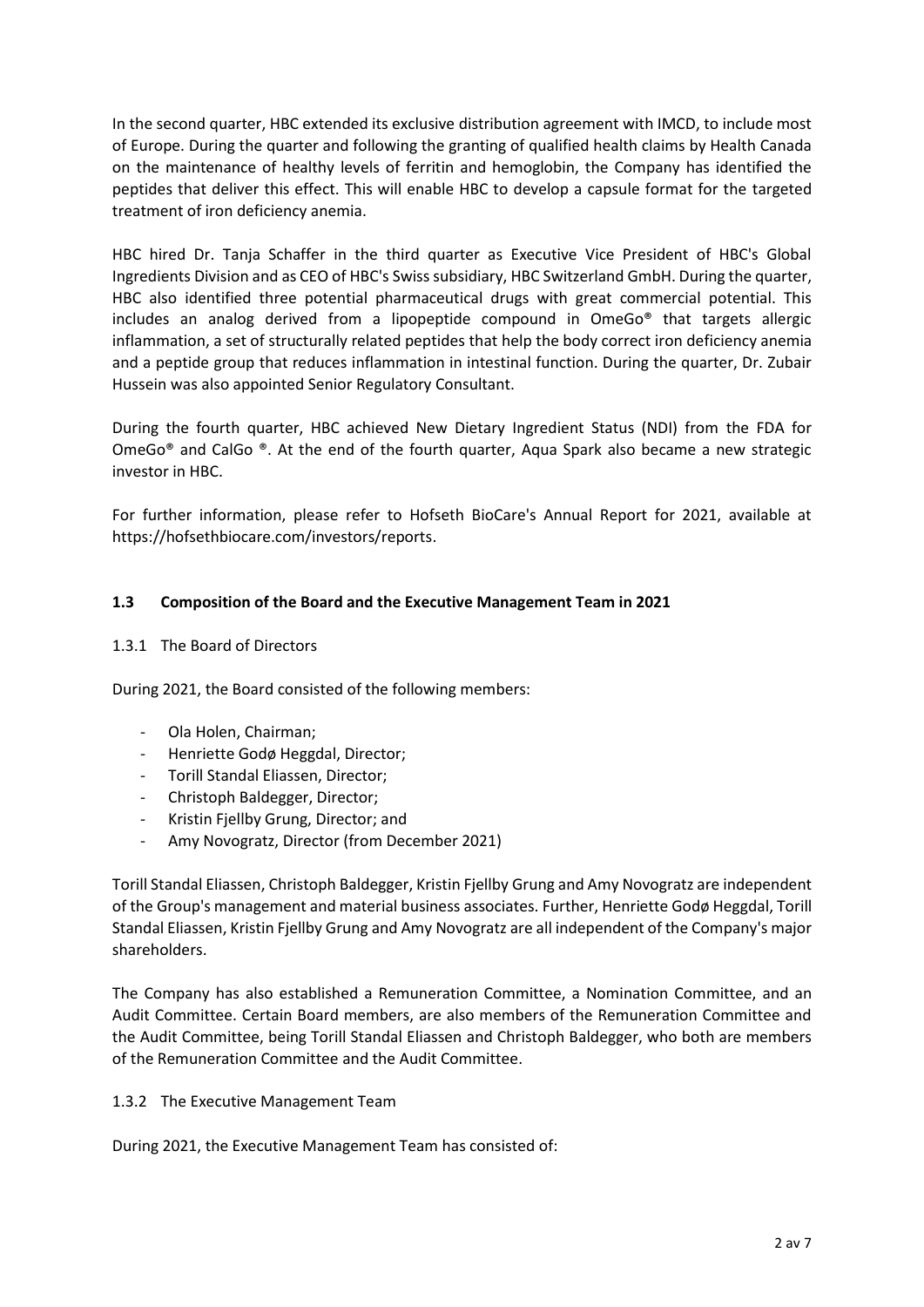In the second quarter, HBC extended its exclusive distribution agreement with IMCD, to include most of Europe. During the quarter and following the granting of qualified health claims by Health Canada on the maintenance of healthy levels of ferritin and hemoglobin, the Company has identified the peptides that deliver this effect. This will enable HBC to develop a capsule format for the targeted treatment of iron deficiency anemia.

HBC hired Dr. Tanja Schaffer in the third quarter as Executive Vice President of HBC's Global Ingredients Division and as CEO of HBC's Swiss subsidiary, HBC Switzerland GmbH. During the quarter, HBC also identified three potential pharmaceutical drugs with great commercial potential. This includes an analog derived from a lipopeptide compound in OmeGo® that targets allergic inflammation, a set of structurally related peptides that help the body correct iron deficiency anemia and a peptide group that reduces inflammation in intestinal function. During the quarter, Dr. Zubair Hussein was also appointed Senior Regulatory Consultant.

During the fourth quarter, HBC achieved New Dietary Ingredient Status (NDI) from the FDA for OmeGo $^{\circ}$  and CalGo  $^{\circ}$ . At the end of the fourth quarter, Aqua Spark also became a new strategic investor in HBC.

For further information, please refer to Hofseth BioCare's Annual Report for 2021, available at https://hofsethbiocare.com/investors/reports.

#### **1.3 Composition of the Board and the Executive Management Team in 2021**

1.3.1 The Board of Directors

During 2021, the Board consisted of the following members:

- Ola Holen, Chairman;
- Henriette Godø Heggdal, Director;
- Torill Standal Eliassen, Director;
- Christoph Baldegger, Director;
- Kristin Fjellby Grung, Director; and
- Amy Novogratz, Director (from December 2021)

Torill Standal Eliassen, Christoph Baldegger, Kristin Fjellby Grung and Amy Novogratz are independent of the Group's management and material business associates. Further, Henriette Godø Heggdal, Torill Standal Eliassen, Kristin Fjellby Grung and Amy Novogratz are all independent of the Company's major shareholders.

The Company has also established a Remuneration Committee, a Nomination Committee, and an Audit Committee. Certain Board members, are also members of the Remuneration Committee and the Audit Committee, being Torill Standal Eliassen and Christoph Baldegger, who both are members of the Remuneration Committee and the Audit Committee.

#### 1.3.2 The Executive Management Team

During 2021, the Executive Management Team has consisted of: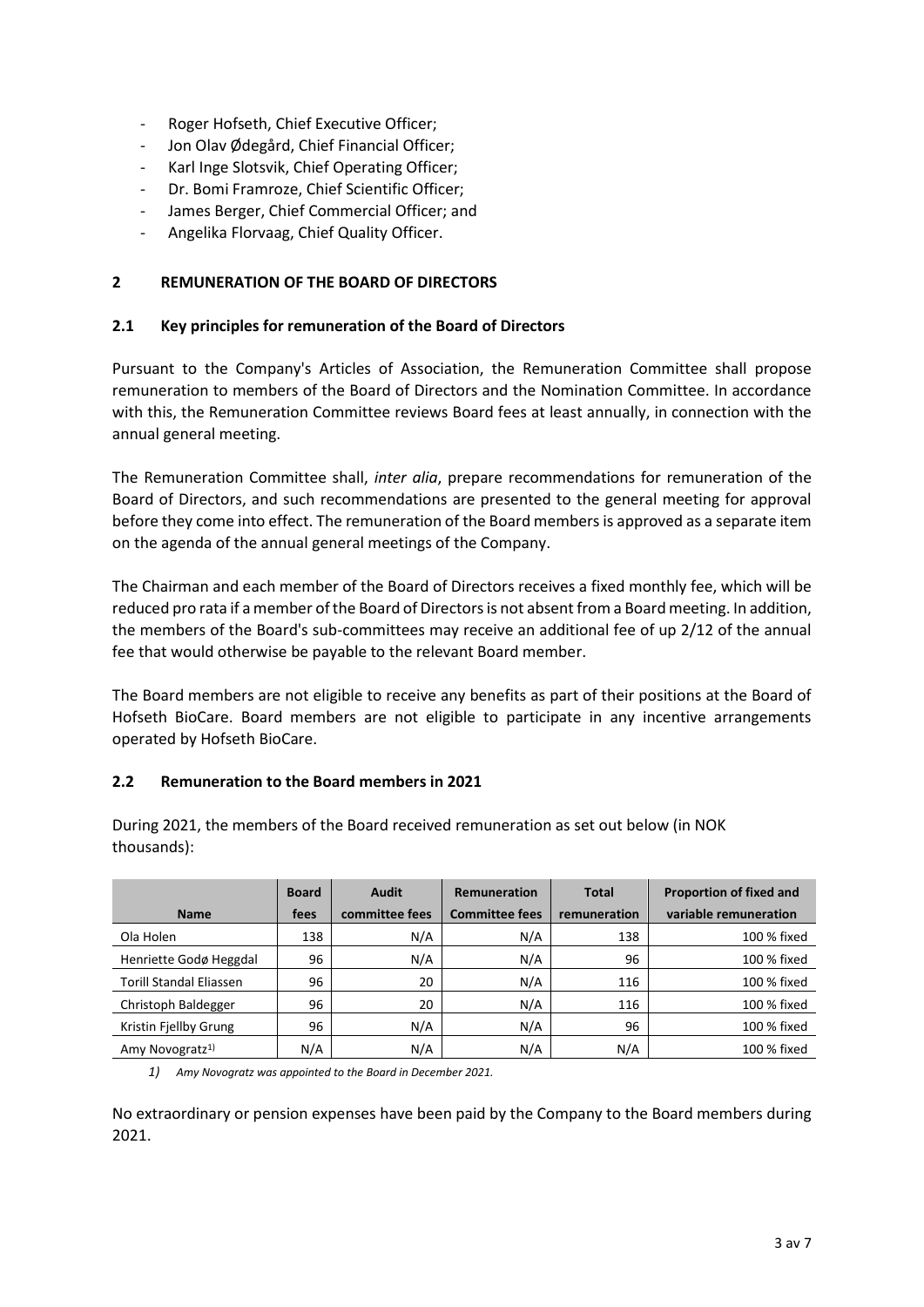- Roger Hofseth, Chief Executive Officer;
- Jon Olav Ødegård, Chief Financial Officer;
- Karl Inge Slotsvik, Chief Operating Officer;
- Dr. Bomi Framroze, Chief Scientific Officer;
- James Berger, Chief Commercial Officer; and
- Angelika Florvaag, Chief Quality Officer.

#### **2 REMUNERATION OF THE BOARD OF DIRECTORS**

#### **2.1 Key principles for remuneration of the Board of Directors**

Pursuant to the Company's Articles of Association, the Remuneration Committee shall propose remuneration to members of the Board of Directors and the Nomination Committee. In accordance with this, the Remuneration Committee reviews Board fees at least annually, in connection with the annual general meeting.

The Remuneration Committee shall, *inter alia*, prepare recommendations for remuneration of the Board of Directors, and such recommendations are presented to the general meeting for approval before they come into effect. The remuneration of the Board members is approved as a separate item on the agenda of the annual general meetings of the Company.

The Chairman and each member of the Board of Directors receives a fixed monthly fee, which will be reduced pro rata if a member of the Board of Directors is not absent from a Board meeting. In addition, the members of the Board's sub-committees may receive an additional fee of up 2/12 of the annual fee that would otherwise be payable to the relevant Board member.

The Board members are not eligible to receive any benefits as part of their positions at the Board of Hofseth BioCare. Board members are not eligible to participate in any incentive arrangements operated by Hofseth BioCare.

#### **2.2 Remuneration to the Board members in 2021**

|                                | <b>Board</b> | Audit          | <b>Remuneration</b>   |              | <b>Proportion of fixed and</b> |  |
|--------------------------------|--------------|----------------|-----------------------|--------------|--------------------------------|--|
| <b>Name</b>                    | fees         | committee fees | <b>Committee fees</b> | remuneration | variable remuneration          |  |
| Ola Holen                      | 138          | N/A            | N/A                   | 138          | 100 % fixed                    |  |
| Henriette Godø Heggdal         | 96           | N/A            | N/A                   | 96           | 100 % fixed                    |  |
| <b>Torill Standal Eliassen</b> | 96           | 20             | N/A                   | 116          | 100 % fixed                    |  |
| Christoph Baldegger            | 96           | 20             | N/A                   | 116          | 100 % fixed                    |  |
| Kristin Fjellby Grung          | 96           | N/A            | N/A                   | 96           | 100 % fixed                    |  |
| Amy Novogratz <sup>1)</sup>    | N/A          | N/A            | N/A                   | N/A          | 100 % fixed                    |  |

During 2021, the members of the Board received remuneration as set out below (in NOK thousands):

*1) Amy Novogratz was appointed to the Board in December 2021.*

No extraordinary or pension expenses have been paid by the Company to the Board members during 2021.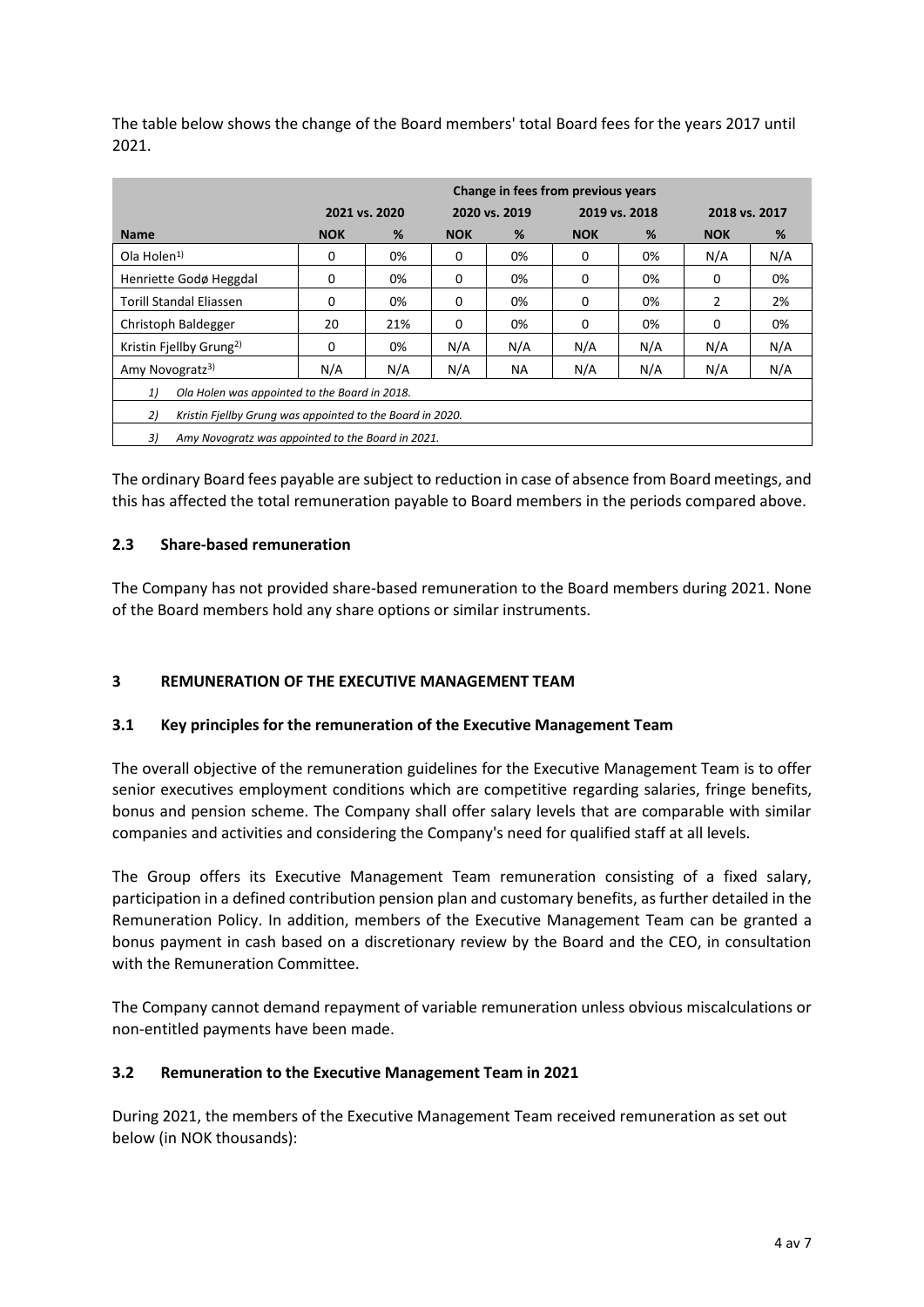The table below shows the change of the Board members' total Board fees for the years 2017 until 2021.

|                                                                 | Change in fees from previous years |               |               |     |            |               |            |               |  |
|-----------------------------------------------------------------|------------------------------------|---------------|---------------|-----|------------|---------------|------------|---------------|--|
|                                                                 |                                    | 2021 vs. 2020 | 2020 vs. 2019 |     |            | 2019 vs. 2018 |            | 2018 vs. 2017 |  |
| <b>Name</b>                                                     | <b>NOK</b>                         | %             | <b>NOK</b>    | %   | <b>NOK</b> | %             | <b>NOK</b> | %             |  |
| Ola Holen <sup>1</sup>                                          | 0                                  | 0%            | 0             | 0%  | 0          | 0%            | N/A        | N/A           |  |
| Henriette Godø Heggdal                                          | 0                                  | 0%            | 0             | 0%  | 0          | 0%            | 0          | 0%            |  |
| Torill Standal Eliassen                                         | 0                                  | 0%            | 0             | 0%  | 0          | 0%            | 2          | 2%            |  |
| Christoph Baldegger                                             | 20                                 | 21%           | 0             | 0%  | 0          | 0%            | $\Omega$   | 0%            |  |
| Kristin Fjellby Grung <sup>2)</sup>                             | 0                                  | 0%            | N/A           | N/A | N/A        | N/A           | N/A        | N/A           |  |
| Amy Novogratz <sup>3)</sup>                                     | N/A                                | N/A           | N/A           | NА  | N/A        | N/A           | N/A        | N/A           |  |
| Ola Holen was appointed to the Board in 2018.<br>1)             |                                    |               |               |     |            |               |            |               |  |
| 2)<br>Kristin Fiellby Grung was appointed to the Board in 2020. |                                    |               |               |     |            |               |            |               |  |
| 3)<br>Amy Novogratz was appointed to the Board in 2021.         |                                    |               |               |     |            |               |            |               |  |

The ordinary Board fees payable are subject to reduction in case of absence from Board meetings, and this has affected the total remuneration payable to Board members in the periods compared above.

# **2.3 Share-based remuneration**

The Company has not provided share-based remuneration to the Board members during 2021. None of the Board members hold any share options or similar instruments.

# **3 REMUNERATION OF THE EXECUTIVE MANAGEMENT TEAM**

## **3.1 Key principles for the remuneration of the Executive Management Team**

The overall objective of the remuneration guidelines for the Executive Management Team is to offer senior executives employment conditions which are competitive regarding salaries, fringe benefits, bonus and pension scheme. The Company shall offer salary levels that are comparable with similar companies and activities and considering the Company's need for qualified staff at all levels.

The Group offers its Executive Management Team remuneration consisting of a fixed salary, participation in a defined contribution pension plan and customary benefits, as further detailed in the Remuneration Policy. In addition, members of the Executive Management Team can be granted a bonus payment in cash based on a discretionary review by the Board and the CEO, in consultation with the Remuneration Committee.

The Company cannot demand repayment of variable remuneration unless obvious miscalculations or non-entitled payments have been made.

## **3.2 Remuneration to the Executive Management Team in 2021**

During 2021, the members of the Executive Management Team received remuneration as set out below (in NOK thousands):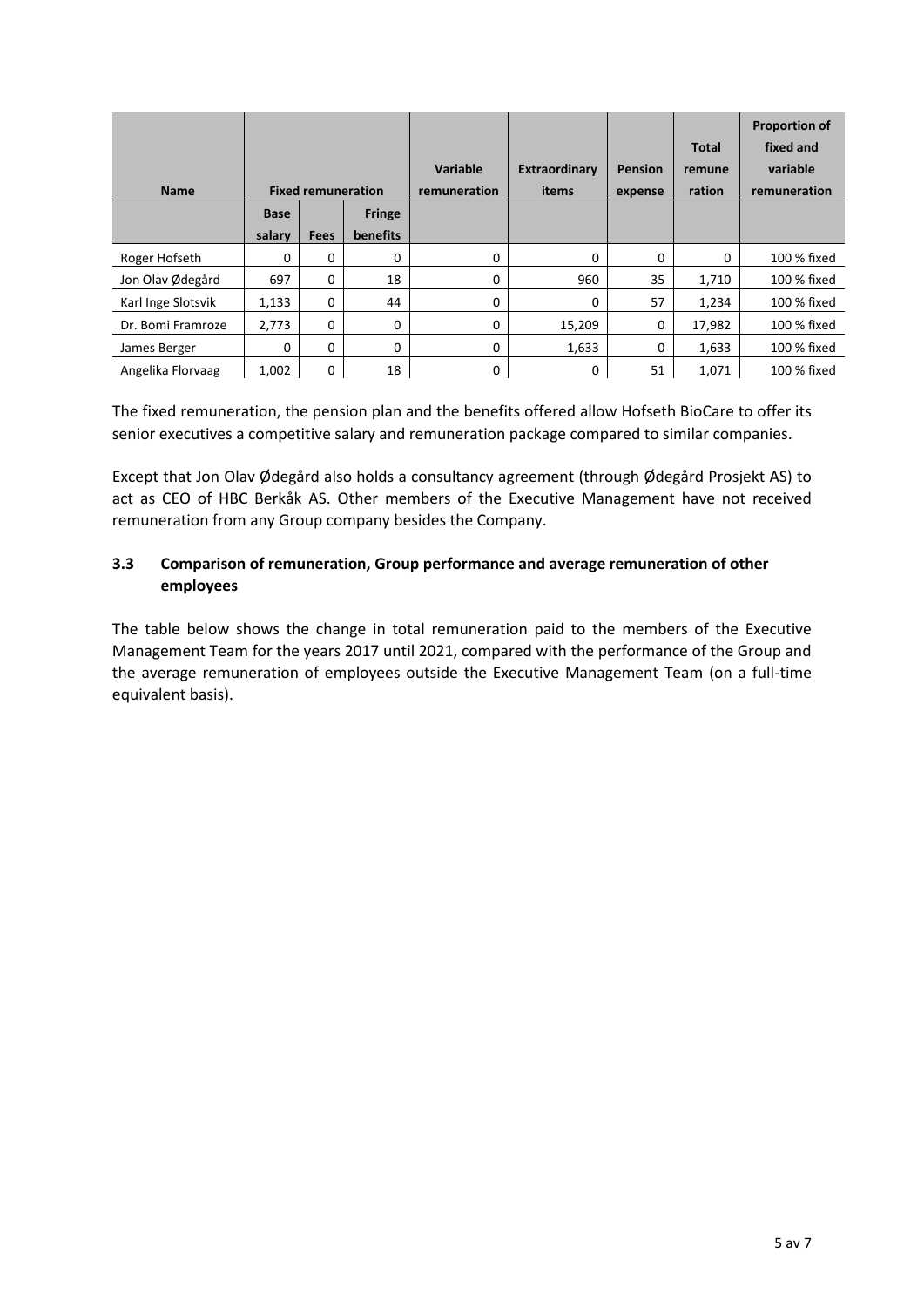|                    |             |                           |               |                          |                        |                           | Total            | <b>Proportion of</b><br>fixed and |
|--------------------|-------------|---------------------------|---------------|--------------------------|------------------------|---------------------------|------------------|-----------------------------------|
| <b>Name</b>        |             | <b>Fixed remuneration</b> |               | Variable<br>remuneration | Extraordinary<br>items | <b>Pension</b><br>expense | remune<br>ration | variable<br>remuneration          |
|                    | <b>Base</b> |                           | <b>Fringe</b> |                          |                        |                           |                  |                                   |
|                    | salary      | <b>Fees</b>               | benefits      |                          |                        |                           |                  |                                   |
| Roger Hofseth      | 0           | 0                         | 0             | 0                        | 0                      | 0                         | 0                | 100 % fixed                       |
| Jon Olav Ødegård   | 697         | 0                         | 18            | $\Omega$                 | 960                    | 35                        | 1,710            | 100 % fixed                       |
| Karl Inge Slotsvik | 1,133       | 0                         | 44            | 0                        | 0                      | 57                        | 1,234            | 100 % fixed                       |
| Dr. Bomi Framroze  | 2,773       | 0                         | 0             | $\Omega$                 | 15,209                 | 0                         | 17,982           | 100 % fixed                       |
| James Berger       | 0           | 0                         | 0             | 0                        | 1,633                  | 0                         | 1,633            | 100 % fixed                       |
| Angelika Florvaag  | 1,002       | 0                         | 18            | 0                        | 0                      | 51                        | 1,071            | 100 % fixed                       |

The fixed remuneration, the pension plan and the benefits offered allow Hofseth BioCare to offer its senior executives a competitive salary and remuneration package compared to similar companies.

Except that Jon Olav Ødegård also holds a consultancy agreement (through Ødegård Prosjekt AS) to act as CEO of HBC Berkåk AS. Other members of the Executive Management have not received remuneration from any Group company besides the Company.

# **3.3 Comparison of remuneration, Group performance and average remuneration of other employees**

The table below shows the change in total remuneration paid to the members of the Executive Management Team for the years 2017 until 2021, compared with the performance of the Group and the average remuneration of employees outside the Executive Management Team (on a full-time equivalent basis).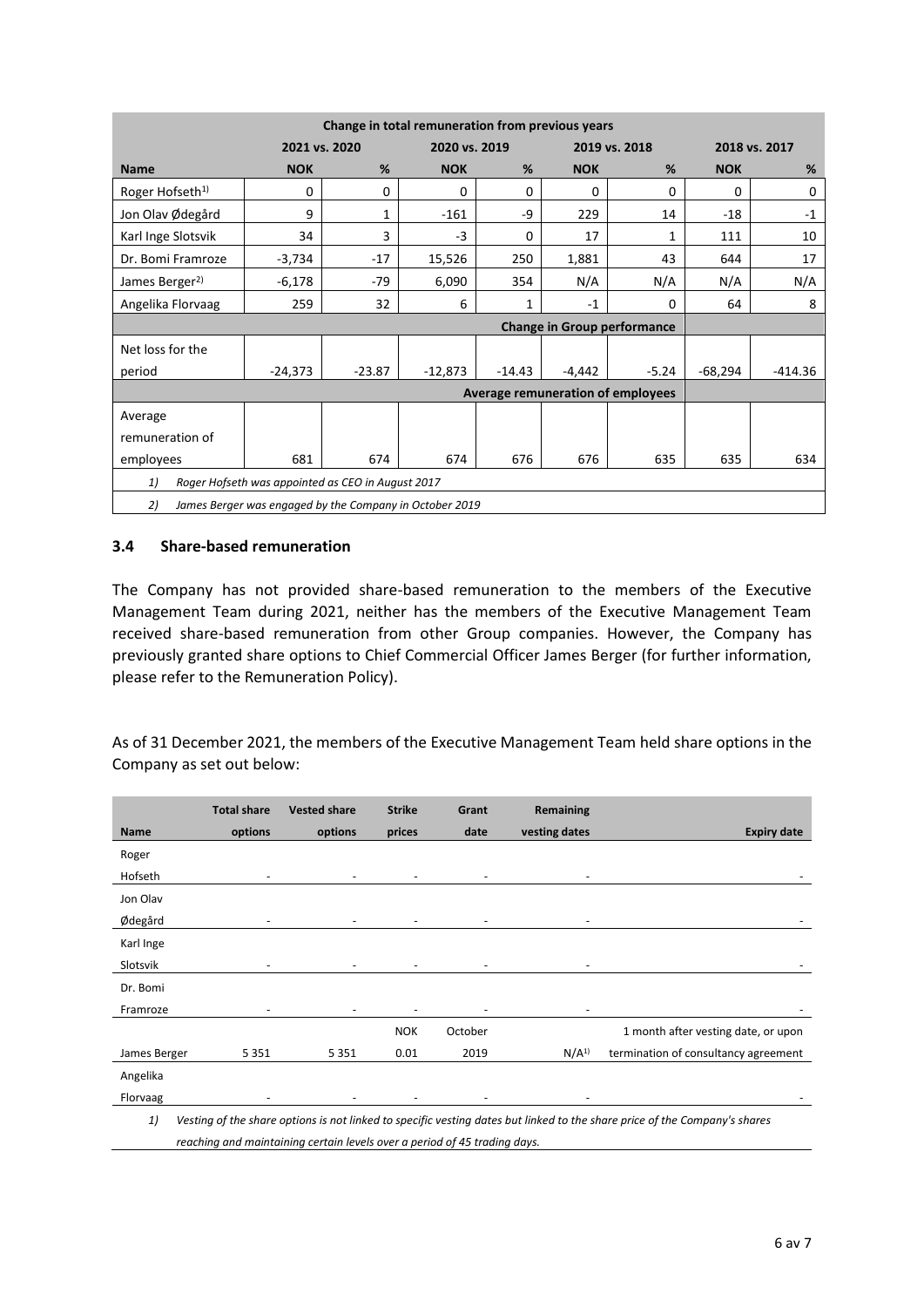| Change in total remuneration from previous years |                                                   |                                |            |          |            |                                    |               |           |  |  |
|--------------------------------------------------|---------------------------------------------------|--------------------------------|------------|----------|------------|------------------------------------|---------------|-----------|--|--|
|                                                  |                                                   | 2020 vs. 2019<br>2021 vs. 2020 |            |          |            | 2019 vs. 2018                      | 2018 vs. 2017 |           |  |  |
| <b>Name</b>                                      | <b>NOK</b>                                        | %                              | <b>NOK</b> | %        | <b>NOK</b> | %                                  | <b>NOK</b>    | %         |  |  |
| Roger Hofseth <sup>1)</sup>                      | 0                                                 | 0                              | 0          | 0        | $\Omega$   | 0                                  | 0             | 0         |  |  |
| Jon Olav Ødegård                                 | 9                                                 | 1                              | $-161$     | $-9$     | 229        | 14                                 | $-18$         | $-1$      |  |  |
| Karl Inge Slotsvik                               | 34                                                | 3                              | $-3$       | 0        | 17         | $\mathbf{1}$                       | 111           | 10        |  |  |
| Dr. Bomi Framroze                                | $-3,734$                                          | $-17$                          | 15,526     | 250      | 1,881      | 43                                 | 644           | 17        |  |  |
| James Berger <sup>2)</sup>                       | $-6,178$                                          | $-79$                          | 6,090      | 354      | N/A        | N/A                                | N/A           | N/A       |  |  |
| Angelika Florvaag                                | 259                                               | 32                             | 6          | 1        | $-1$       | 0                                  | 64            | 8         |  |  |
|                                                  |                                                   |                                |            |          |            | <b>Change in Group performance</b> |               |           |  |  |
|                                                  |                                                   |                                |            |          |            |                                    |               |           |  |  |
| Net loss for the                                 |                                                   |                                |            |          |            |                                    |               |           |  |  |
| period                                           | $-24,373$                                         | $-23.87$                       | $-12,873$  | $-14.43$ | $-4,442$   | $-5.24$                            | -68,294       | $-414.36$ |  |  |
|                                                  |                                                   |                                |            |          |            | Average remuneration of employees  |               |           |  |  |
| Average                                          |                                                   |                                |            |          |            |                                    |               |           |  |  |
| remuneration of                                  |                                                   |                                |            |          |            |                                    |               |           |  |  |
| employees                                        | 681                                               | 674                            | 674        | 676      | 676        | 635                                | 635           | 634       |  |  |
| 1)                                               | Roger Hofseth was appointed as CEO in August 2017 |                                |            |          |            |                                    |               |           |  |  |

#### **3.4 Share-based remuneration**

The Company has not provided share-based remuneration to the members of the Executive Management Team during 2021, neither has the members of the Executive Management Team received share-based remuneration from other Group companies. However, the Company has previously granted share options to Chief Commercial Officer James Berger (for further information, please refer to the Remuneration Policy).

As of 31 December 2021, the members of the Executive Management Team held share options in the Company as set out below:

|              | <b>Total share</b> | <b>Vested share</b>                                                       | <b>Strike</b>            | Grant   | Remaining        |                                                                                                                            |
|--------------|--------------------|---------------------------------------------------------------------------|--------------------------|---------|------------------|----------------------------------------------------------------------------------------------------------------------------|
| <b>Name</b>  | options            | options                                                                   | prices                   | date    | vesting dates    | <b>Expiry date</b>                                                                                                         |
| Roger        |                    |                                                                           |                          |         |                  |                                                                                                                            |
| Hofseth      |                    |                                                                           | $\overline{\phantom{a}}$ |         |                  |                                                                                                                            |
| Jon Olav     |                    |                                                                           |                          |         |                  |                                                                                                                            |
| Ødegård      |                    |                                                                           | ٠                        |         |                  |                                                                                                                            |
| Karl Inge    |                    |                                                                           |                          |         |                  |                                                                                                                            |
| Slotsvik     |                    |                                                                           |                          |         |                  |                                                                                                                            |
| Dr. Bomi     |                    |                                                                           |                          |         |                  |                                                                                                                            |
| Framroze     |                    |                                                                           |                          |         |                  |                                                                                                                            |
|              |                    |                                                                           | <b>NOK</b>               | October |                  | 1 month after vesting date, or upon                                                                                        |
| James Berger | 5 3 5 1            | 5 3 5 1                                                                   | 0.01                     | 2019    | N/A <sup>1</sup> | termination of consultancy agreement                                                                                       |
| Angelika     |                    |                                                                           |                          |         |                  |                                                                                                                            |
| Florvaag     |                    |                                                                           |                          |         |                  |                                                                                                                            |
| 1)           |                    |                                                                           |                          |         |                  | Vesting of the share options is not linked to specific vesting dates but linked to the share price of the Company's shares |
|              |                    | reaching and maintaining certain levels over a period of 45 trading days. |                          |         |                  |                                                                                                                            |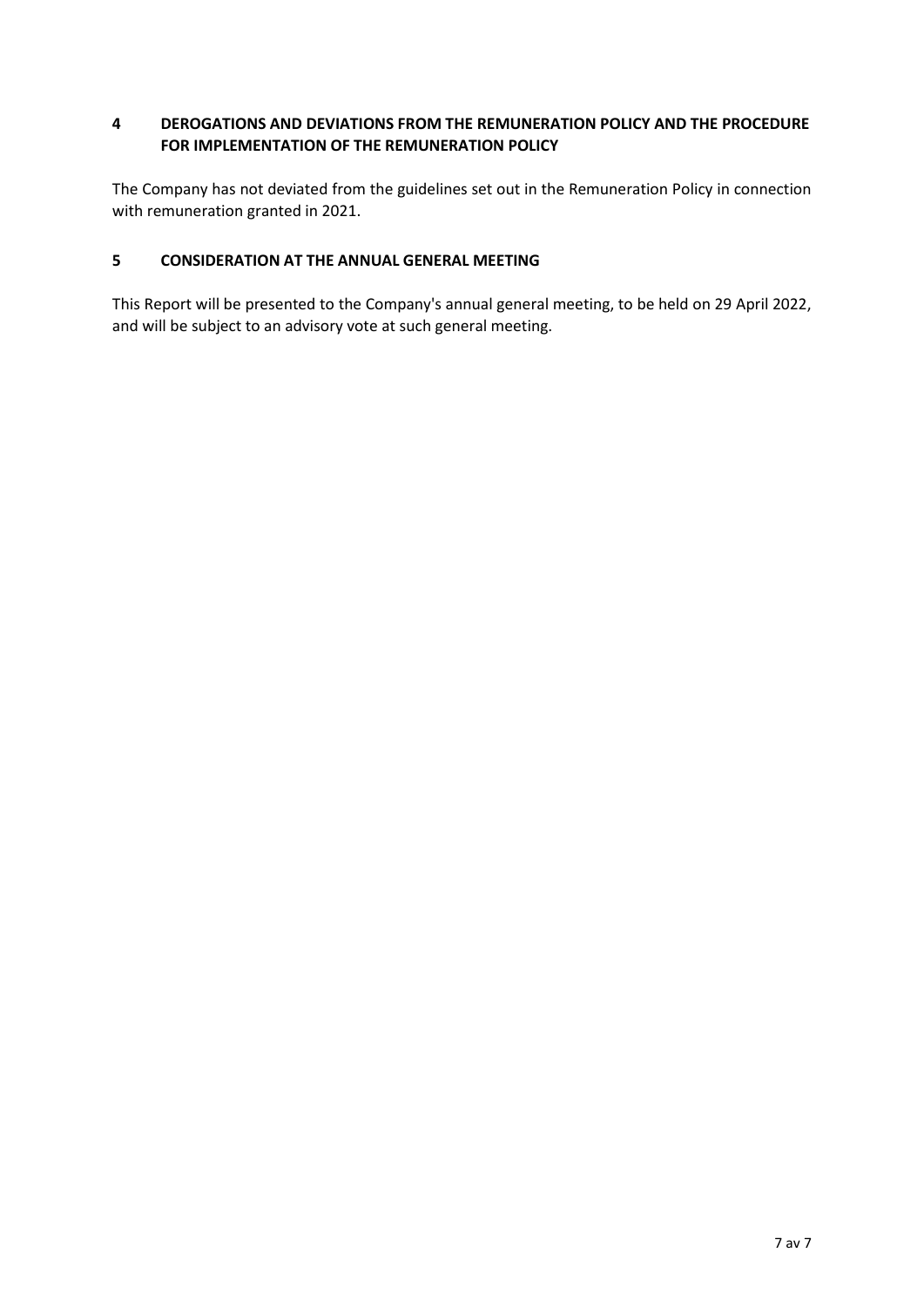# **4 DEROGATIONS AND DEVIATIONS FROM THE REMUNERATION POLICY AND THE PROCEDURE FOR IMPLEMENTATION OF THE REMUNERATION POLICY**

The Company has not deviated from the guidelines set out in the Remuneration Policy in connection with remuneration granted in 2021.

## **5 CONSIDERATION AT THE ANNUAL GENERAL MEETING**

This Report will be presented to the Company's annual general meeting, to be held on 29 April 2022, and will be subject to an advisory vote at such general meeting.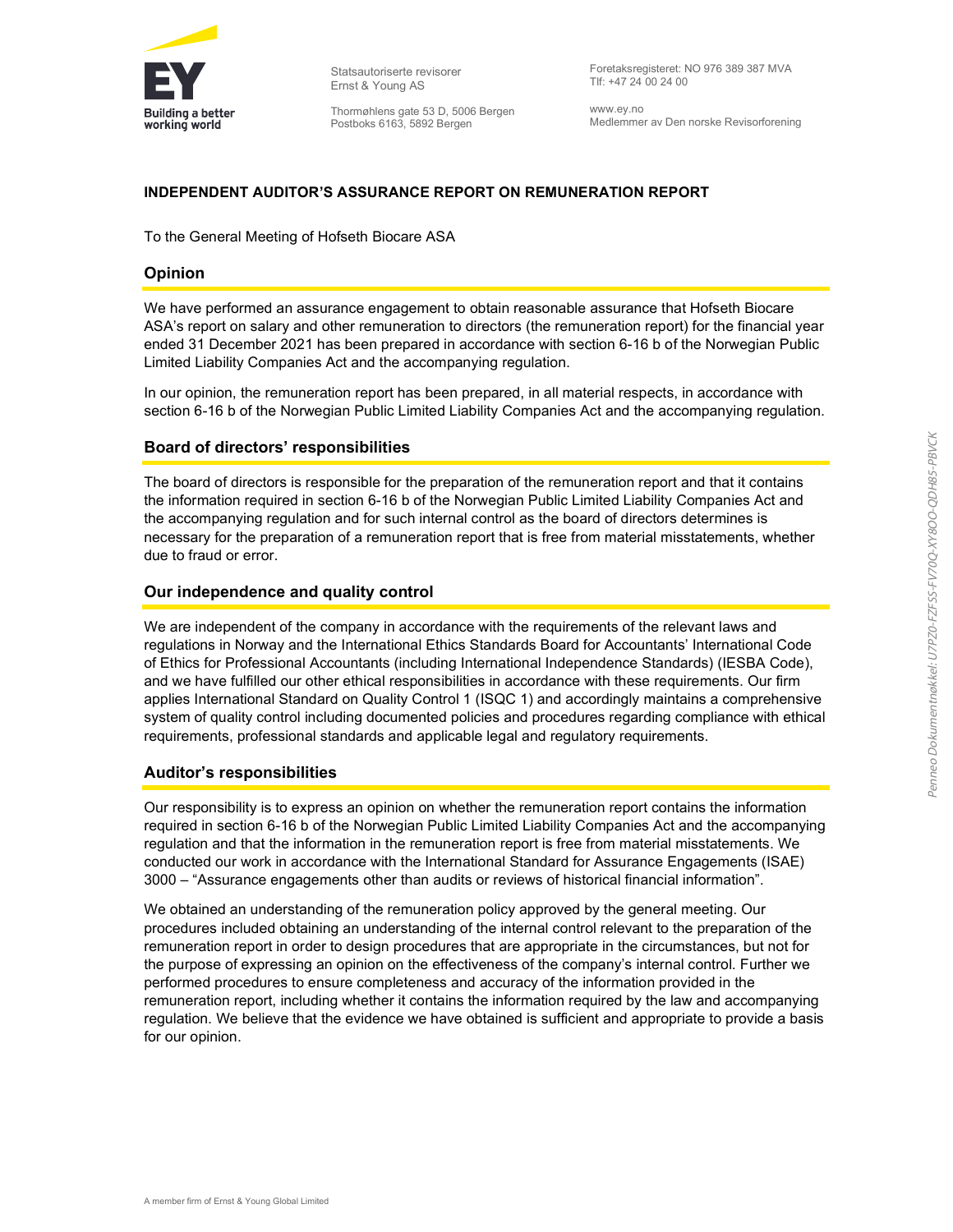

Statsautoriserte revisorer Ernst & Young AS

Thormøhlens gate 53 D, 5006 Bergen Postboks 6163, 5892 Bergen

Foretaksregisteret: NO 976 389 387 MVA Tlf: +47 24 00 24 00

www.ey.no Medlemmer av Den norske Revisorforening

#### INDEPENDENT AUDITOR'S ASSURANCE REPORT ON REMUNERATION REPORT

To the General Meeting of Hofseth Biocare ASA

#### Opinion

We have performed an assurance engagement to obtain reasonable assurance that Hofseth Biocare ASA's report on salary and other remuneration to directors (the remuneration report) for the financial year ended 31 December 2021 has been prepared in accordance with section 6-16 b of the Norwegian Public Limited Liability Companies Act and the accompanying regulation.

In our opinion, the remuneration report has been prepared, in all material respects, in accordance with section 6-16 b of the Norwegian Public Limited Liability Companies Act and the accompanying regulation.

#### Board of directors' responsibilities

The board of directors is responsible for the preparation of the remuneration report and that it contains the information required in section 6-16 b of the Norwegian Public Limited Liability Companies Act and the accompanying regulation and for such internal control as the board of directors determines is necessary for the preparation of a remuneration report that is free from material misstatements, whether due to fraud or error.

#### Our independence and quality control

We are independent of the company in accordance with the requirements of the relevant laws and regulations in Norway and the International Ethics Standards Board for Accountants' International Code of Ethics for Professional Accountants (including International Independence Standards) (IESBA Code), and we have fulfilled our other ethical responsibilities in accordance with these requirements. Our firm applies International Standard on Quality Control 1 (ISQC 1) and accordingly maintains a comprehensive system of quality control including documented policies and procedures regarding compliance with ethical requirements, professional standards and applicable legal and regulatory requirements.

#### Auditor's responsibilities

Our responsibility is to express an opinion on whether the remuneration report contains the information required in section 6-16 b of the Norwegian Public Limited Liability Companies Act and the accompanying regulation and that the information in the remuneration report is free from material misstatements. We conducted our work in accordance with the International Standard for Assurance Engagements (ISAE) 3000 – "Assurance engagements other than audits or reviews of historical financial information".

We obtained an understanding of the remuneration policy approved by the general meeting. Our procedures included obtaining an understanding of the internal control relevant to the preparation of the remuneration report in order to design procedures that are appropriate in the circumstances, but not for the purpose of expressing an opinion on the effectiveness of the company's internal control. Further we performed procedures to ensure completeness and accuracy of the information provided in the remuneration report, including whether it contains the information required by the law and accompanying regulation. We believe that the evidence we have obtained is sufficient and appropriate to provide a basis for our opinion.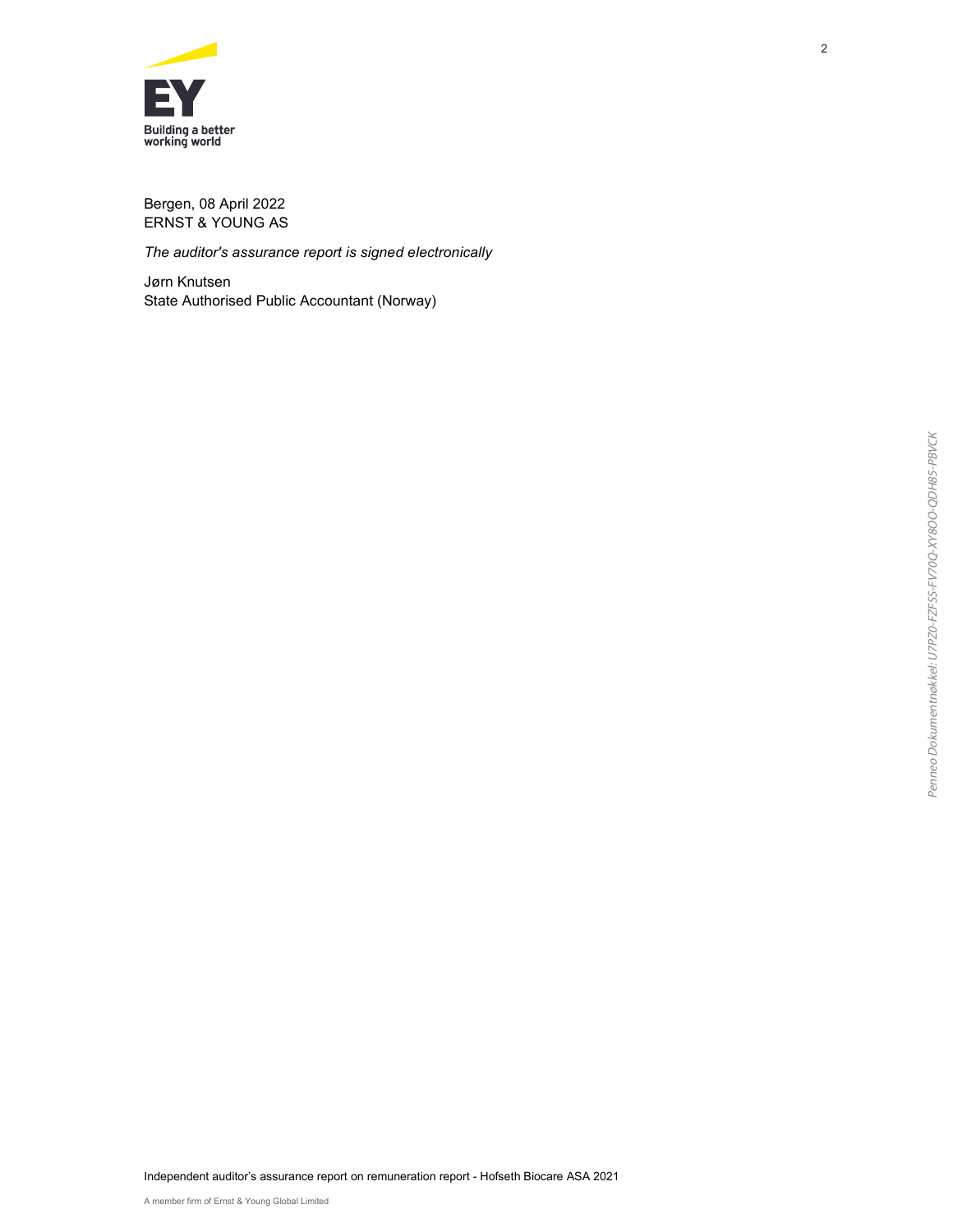

Bergen, 08 April 2022 ERNST & YOUNG AS

The auditor's assurance report is signed electronically

Jørn Knutsen State Authorised Public Accountant (Norway)